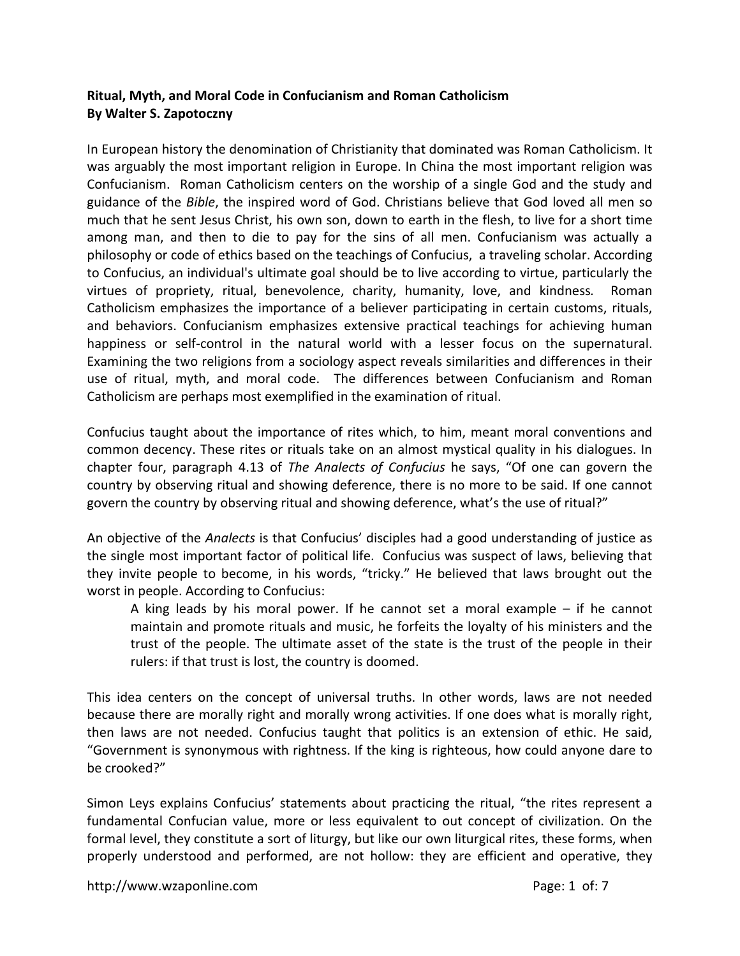## **Ritual, Myth, and Moral Code in Confucianism and Roman Catholicism By Walter S. Zapotoczny**

In European history the denomination of Christianity that dominated was Roman Catholicism. It was arguably the most important religion in Europe. In China the most important religion was Confucianism. Roman Catholicism centers on the worship of a single God and the study and guidance of the *Bible*, the inspired word of God. Christians believe that God loved all men so much that he sent Jesus Christ, his own son, down to earth in the flesh, to live for a short time among man, and then to die to pay for the sins of all men. Confucianism was actually a philosophy or code of ethics based on the teachings of Confucius, a traveling scholar. According to Confucius, an individual's ultimate goal should be to live according to virtue, particularly the virtues of propriety, ritual, benevolence, charity, humanity, love, and kindness*.*  Roman Catholicism emphasizes the importance of a believer participating in certain customs, rituals, and behaviors. Confucianism emphasizes extensive practical teachings for achieving human happiness or self-control in the natural world with a lesser focus on the supernatural. Examining the two religions from a sociology aspect reveals similarities and differences in their use of ritual, myth, and moral code. The differences between Confucianism and Roman Catholicism are perhaps most exemplified in the examination of ritual.

Confucius taught about the importance of rites which, to him, meant moral conventions and common decency. These rites or rituals take on an almost mystical quality in his dialogues. In chapter four, paragraph 4.13 of *The Analects of Confucius* he says, "Of one can govern the country by observing ritual and showing deference, there is no more to be said. If one cannot govern the country by observing ritual and showing deference, what's the use of ritual?"

An objective of the *Analects* is that Confucius' disciples had a good understanding of justice as the single most important factor of political life. Confucius was suspect of laws, believing that they invite people to become, in his words, "tricky." He believed that laws brought out the worst in people. According to Confucius:

A king leads by his moral power. If he cannot set a moral example  $-$  if he cannot maintain and promote rituals and music, he forfeits the loyalty of his ministers and the trust of the people. The ultimate asset of the state is the trust of the people in their rulers: if that trust is lost, the country is doomed.

This idea centers on the concept of universal truths. In other words, laws are not needed because there are morally right and morally wrong activities. If one does what is morally right, then laws are not needed. Confucius taught that politics is an extension of ethic. He said, "Government is synonymous with rightness. If the king is righteous, how could anyone dare to be crooked?"

Simon Leys explains Confucius' statements about practicing the ritual, "the rites represent a fundamental Confucian value, more or less equivalent to out concept of civilization. On the formal level, they constitute a sort of liturgy, but like our own liturgical rites, these forms, when properly understood and performed, are not hollow: they are efficient and operative, they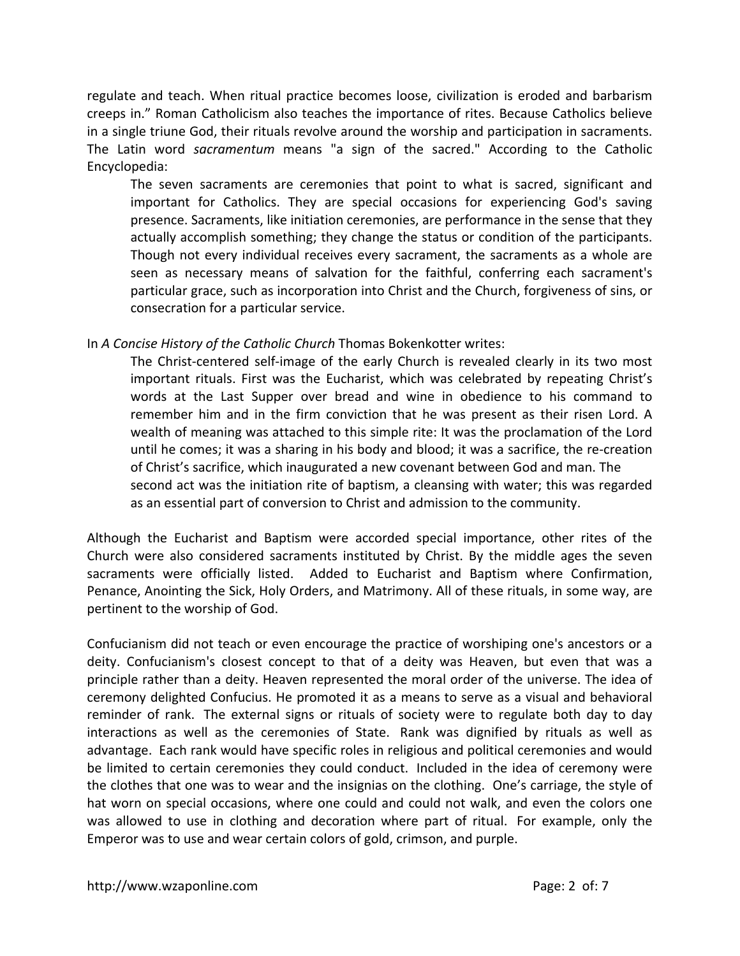regulate and teach. When ritual practice becomes loose, civilization is eroded and barbarism creeps in." Roman Catholicism also teaches the importance of rites. Because Catholics believe in a single triune God, their rituals revolve around the worship and participation in sacraments. The Latin word *sacramentum* means "a sign of the sacred." According to the Catholic Encyclopedia:

The seven sacraments are ceremonies that point to what is sacred, significant and important for Catholics. They are special occasions for experiencing God's saving presence. Sacraments, like initiation ceremonies, are performance in the sense that they actually accomplish something; they change the status or condition of the participants. Though not every individual receives every sacrament, the sacraments as a whole are seen as necessary means of salvation for the faithful, conferring each sacrament's particular grace, such as incorporation into Christ and the Church, forgiveness of sins, or consecration for a particular service.

In *A Concise History of the Catholic Church* Thomas Bokenkotter writes:

The Christ-centered self-image of the early Church is revealed clearly in its two most important rituals. First was the Eucharist, which was celebrated by repeating Christ's words at the Last Supper over bread and wine in obedience to his command to remember him and in the firm conviction that he was present as their risen Lord. A wealth of meaning was attached to this simple rite: It was the proclamation of the Lord until he comes; it was a sharing in his body and blood; it was a sacrifice, the re‐creation of Christ's sacrifice, which inaugurated a new covenant between God and man. The second act was the initiation rite of baptism, a cleansing with water; this was regarded as an essential part of conversion to Christ and admission to the community.

Although the Eucharist and Baptism were accorded special importance, other rites of the Church were also considered sacraments instituted by Christ. By the middle ages the seven sacraments were officially listed. Added to Eucharist and Baptism where Confirmation, Penance, Anointing the Sick, Holy Orders, and Matrimony. All of these rituals, in some way, are pertinent to the worship of God.

Confucianism did not teach or even encourage the practice of worshiping one's ancestors or a deity. Confucianism's closest concept to that of a deity was Heaven, but even that was a principle rather than a deity. Heaven represented the moral order of the universe. The idea of ceremony delighted Confucius. He promoted it as a means to serve as a visual and behavioral reminder of rank. The external signs or rituals of society were to regulate both day to day interactions as well as the ceremonies of State. Rank was dignified by rituals as well as advantage. Each rank would have specific roles in religious and political ceremonies and would be limited to certain ceremonies they could conduct. Included in the idea of ceremony were the clothes that one was to wear and the insignias on the clothing. One's carriage, the style of hat worn on special occasions, where one could and could not walk, and even the colors one was allowed to use in clothing and decoration where part of ritual. For example, only the Emperor was to use and wear certain colors of gold, crimson, and purple.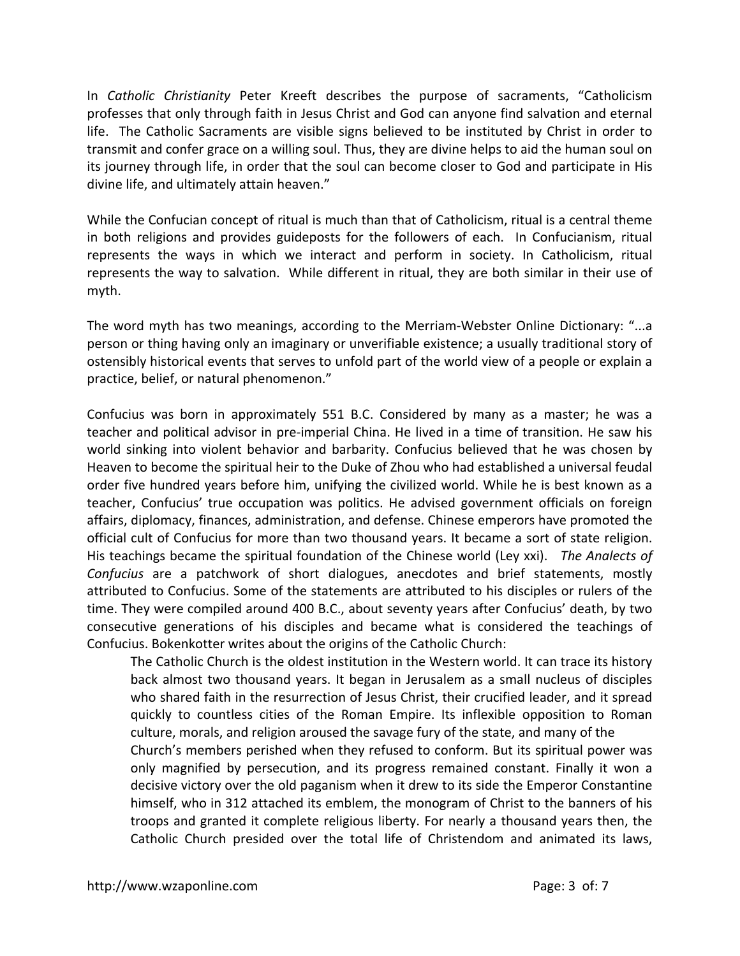In *Catholic Christianity* Peter Kreeft describes the purpose of sacraments, "Catholicism professes that only through faith in Jesus Christ and God can anyone find salvation and eternal life. The Catholic Sacraments are visible signs believed to be instituted by Christ in order to transmit and confer grace on a willing soul. Thus, they are divine helps to aid the human soul on its journey through life, in order that the soul can become closer to God and participate in His divine life, and ultimately attain heaven."

While the Confucian concept of ritual is much than that of Catholicism, ritual is a central theme in both religions and provides guideposts for the followers of each. In Confucianism, ritual represents the ways in which we interact and perform in society. In Catholicism, ritual represents the way to salvation. While different in ritual, they are both similar in their use of myth.

The word myth has two meanings, according to the Merriam‐Webster Online Dictionary: "...a person or thing having only an imaginary or unverifiable existence; a usually traditional story of ostensibly historical events that serves to unfold part of the world view of a people or explain a practice, belief, or natural phenomenon."

Confucius was born in approximately 551 B.C. Considered by many as a master; he was a teacher and political advisor in pre‐imperial China. He lived in a time of transition. He saw his world sinking into violent behavior and barbarity. Confucius believed that he was chosen by Heaven to become the spiritual heir to the Duke of Zhou who had established a universal feudal order five hundred years before him, unifying the civilized world. While he is best known as a teacher, Confucius' true occupation was politics. He advised government officials on foreign affairs, diplomacy, finances, administration, and defense. Chinese emperors have promoted the official cult of Confucius for more than two thousand years. It became a sort of state religion. His teachings became the spiritual foundation of the Chinese world (Ley xxi). *The Analects of Confucius* are a patchwork of short dialogues, anecdotes and brief statements, mostly attributed to Confucius. Some of the statements are attributed to his disciples or rulers of the time. They were compiled around 400 B.C., about seventy years after Confucius' death, by two consecutive generations of his disciples and became what is considered the teachings of Confucius. Bokenkotter writes about the origins of the Catholic Church:

The Catholic Church is the oldest institution in the Western world. It can trace its history back almost two thousand years. It began in Jerusalem as a small nucleus of disciples who shared faith in the resurrection of Jesus Christ, their crucified leader, and it spread quickly to countless cities of the Roman Empire. Its inflexible opposition to Roman culture, morals, and religion aroused the savage fury of the state, and many of the

Church's members perished when they refused to conform. But its spiritual power was only magnified by persecution, and its progress remained constant. Finally it won a decisive victory over the old paganism when it drew to its side the Emperor Constantine himself, who in 312 attached its emblem, the monogram of Christ to the banners of his troops and granted it complete religious liberty. For nearly a thousand years then, the Catholic Church presided over the total life of Christendom and animated its laws,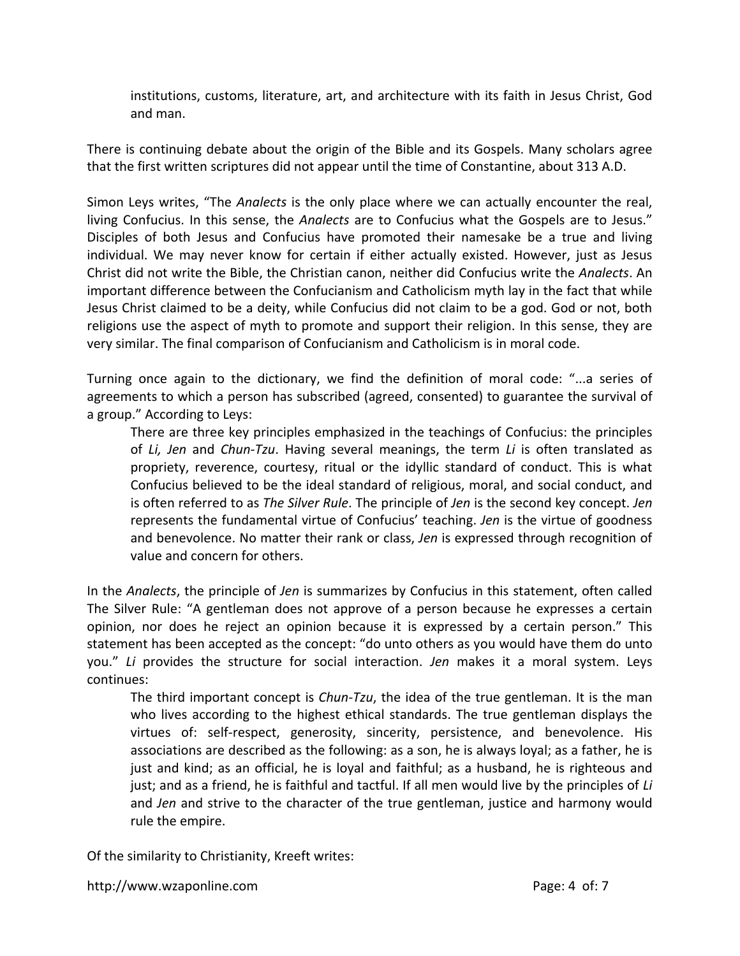institutions, customs, literature, art, and architecture with its faith in Jesus Christ, God and man.

There is continuing debate about the origin of the Bible and its Gospels. Many scholars agree that the first written scriptures did not appear until the time of Constantine, about 313 A.D.

Simon Leys writes, "The *Analects* is the only place where we can actually encounter the real, living Confucius. In this sense, the *Analects* are to Confucius what the Gospels are to Jesus." Disciples of both Jesus and Confucius have promoted their namesake be a true and living individual. We may never know for certain if either actually existed. However, just as Jesus Christ did not write the Bible, the Christian canon, neither did Confucius write the *Analects*. An important difference between the Confucianism and Catholicism myth lay in the fact that while Jesus Christ claimed to be a deity, while Confucius did not claim to be a god. God or not, both religions use the aspect of myth to promote and support their religion. In this sense, they are very similar. The final comparison of Confucianism and Catholicism is in moral code.

Turning once again to the dictionary, we find the definition of moral code: "...a series of agreements to which a person has subscribed (agreed, consented) to guarantee the survival of a group." According to Leys:

There are three key principles emphasized in the teachings of Confucius: the principles of *Li, Jen* and *Chun‐Tzu*. Having several meanings, the term *Li* is often translated as propriety, reverence, courtesy, ritual or the idyllic standard of conduct. This is what Confucius believed to be the ideal standard of religious, moral, and social conduct, and is often referred to as *The Silver Rule*. The principle of *Jen* is the second key concept. *Jen*  represents the fundamental virtue of Confucius' teaching. *Jen* is the virtue of goodness and benevolence. No matter their rank or class, *Jen* is expressed through recognition of value and concern for others.

In the *Analects*, the principle of *Jen* is summarizes by Confucius in this statement, often called The Silver Rule: "A gentleman does not approve of a person because he expresses a certain opinion, nor does he reject an opinion because it is expressed by a certain person." This statement has been accepted as the concept: "do unto others as you would have them do unto you." *Li* provides the structure for social interaction. *Jen* makes it a moral system. Leys continues:

The third important concept is *Chun‐Tzu*, the idea of the true gentleman. It is the man who lives according to the highest ethical standards. The true gentleman displays the virtues of: self‐respect, generosity, sincerity, persistence, and benevolence. His associations are described as the following: as a son, he is always loyal; as a father, he is just and kind; as an official, he is loyal and faithful; as a husband, he is righteous and just; and as a friend, he is faithful and tactful. If all men would live by the principles of *Li* and *Jen* and strive to the character of the true gentleman, justice and harmony would rule the empire.

Of the similarity to Christianity, Kreeft writes: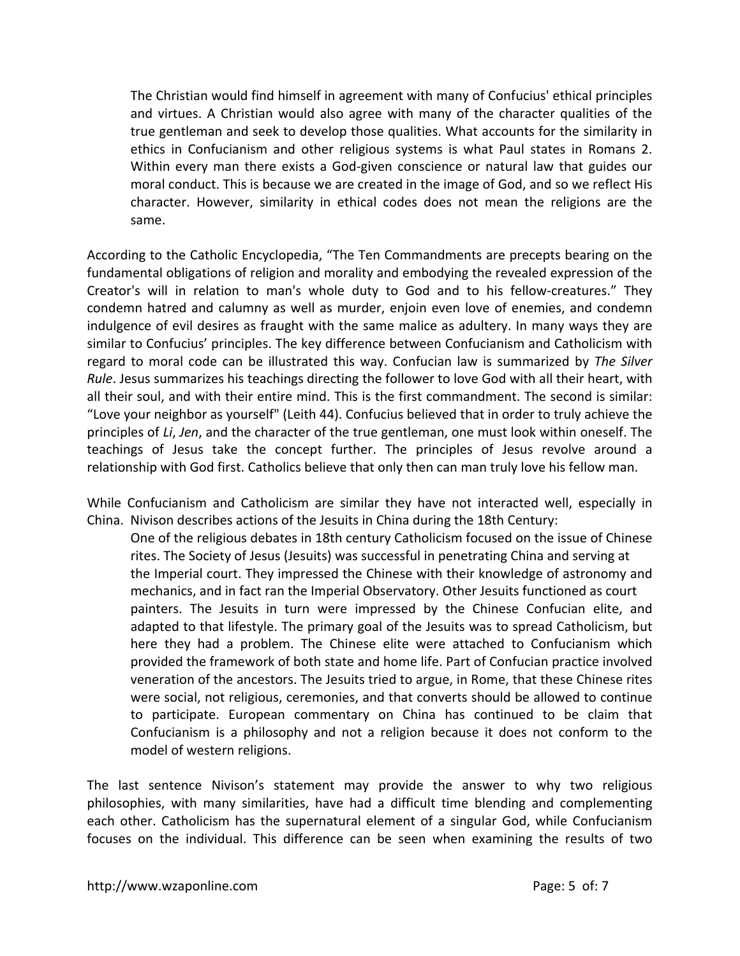The Christian would find himself in agreement with many of Confucius' ethical principles and virtues. A Christian would also agree with many of the character qualities of the true gentleman and seek to develop those qualities. What accounts for the similarity in ethics in Confucianism and other religious systems is what Paul states in Romans 2. Within every man there exists a God-given conscience or natural law that guides our moral conduct. This is because we are created in the image of God, and so we reflect His character. However, similarity in ethical codes does not mean the religions are the same.

According to the Catholic Encyclopedia, "The Ten Commandments are precepts bearing on the fundamental obligations of religion and morality and embodying the revealed expression of the Creator's will in relation to man's whole duty to God and to his fellow‐creatures." They condemn hatred and calumny as well as murder, enjoin even love of enemies, and condemn indulgence of evil desires as fraught with the same malice as adultery. In many ways they are similar to Confucius' principles. The key difference between Confucianism and Catholicism with regard to moral code can be illustrated this way. Confucian law is summarized by *The Silver Rule*. Jesus summarizes his teachings directing the follower to love God with all their heart, with all their soul, and with their entire mind. This is the first commandment. The second is similar: "Love your neighbor as yourself" (Leith 44). Confucius believed that in order to truly achieve the principles of *Li*, *Jen*, and the character of the true gentleman, one must look within oneself. The teachings of Jesus take the concept further. The principles of Jesus revolve around a relationship with God first. Catholics believe that only then can man truly love his fellow man.

While Confucianism and Catholicism are similar they have not interacted well, especially in China. Nivison describes actions of the Jesuits in China during the 18th Century:

One of the religious debates in 18th century Catholicism focused on the issue of Chinese rites. The Society of Jesus (Jesuits) was successful in penetrating China and serving at the Imperial court. They impressed the Chinese with their knowledge of astronomy and mechanics, and in fact ran the Imperial Observatory. Other Jesuits functioned as court painters. The Jesuits in turn were impressed by the Chinese Confucian elite, and adapted to that lifestyle. The primary goal of the Jesuits was to spread Catholicism, but here they had a problem. The Chinese elite were attached to Confucianism which provided the framework of both state and home life. Part of Confucian practice involved veneration of the ancestors. The Jesuits tried to argue, in Rome, that these Chinese rites were social, not religious, ceremonies, and that converts should be allowed to continue to participate. European commentary on China has continued to be claim that Confucianism is a philosophy and not a religion because it does not conform to the model of western religions.

The last sentence Nivison's statement may provide the answer to why two religious philosophies, with many similarities, have had a difficult time blending and complementing each other. Catholicism has the supernatural element of a singular God, while Confucianism focuses on the individual. This difference can be seen when examining the results of two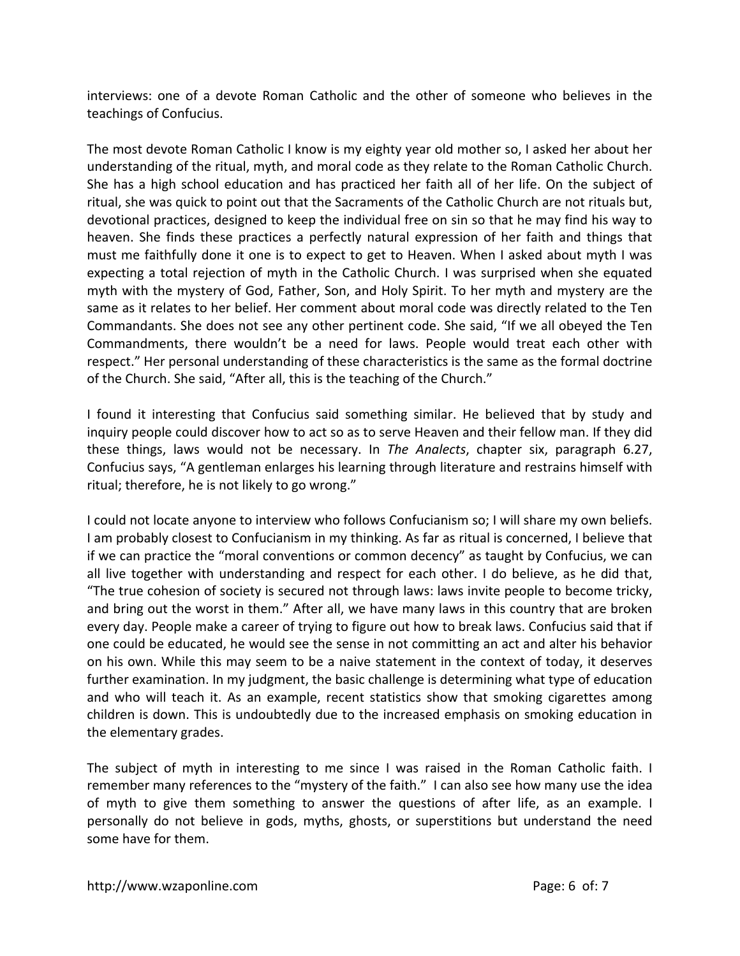interviews: one of a devote Roman Catholic and the other of someone who believes in the teachings of Confucius.

The most devote Roman Catholic I know is my eighty year old mother so, I asked her about her understanding of the ritual, myth, and moral code as they relate to the Roman Catholic Church. She has a high school education and has practiced her faith all of her life. On the subject of ritual, she was quick to point out that the Sacraments of the Catholic Church are not rituals but, devotional practices, designed to keep the individual free on sin so that he may find his way to heaven. She finds these practices a perfectly natural expression of her faith and things that must me faithfully done it one is to expect to get to Heaven. When I asked about myth I was expecting a total rejection of myth in the Catholic Church. I was surprised when she equated myth with the mystery of God, Father, Son, and Holy Spirit. To her myth and mystery are the same as it relates to her belief. Her comment about moral code was directly related to the Ten Commandants. She does not see any other pertinent code. She said, "If we all obeyed the Ten Commandments, there wouldn't be a need for laws. People would treat each other with respect." Her personal understanding of these characteristics is the same as the formal doctrine of the Church. She said, "After all, this is the teaching of the Church."

I found it interesting that Confucius said something similar. He believed that by study and inquiry people could discover how to act so as to serve Heaven and their fellow man. If they did these things, laws would not be necessary. In *The Analects*, chapter six, paragraph 6.27, Confucius says, "A gentleman enlarges his learning through literature and restrains himself with ritual; therefore, he is not likely to go wrong."

I could not locate anyone to interview who follows Confucianism so; I will share my own beliefs. I am probably closest to Confucianism in my thinking. As far as ritual is concerned, I believe that if we can practice the "moral conventions or common decency" as taught by Confucius, we can all live together with understanding and respect for each other. I do believe, as he did that, "The true cohesion of society is secured not through laws: laws invite people to become tricky, and bring out the worst in them." After all, we have many laws in this country that are broken every day. People make a career of trying to figure out how to break laws. Confucius said that if one could be educated, he would see the sense in not committing an act and alter his behavior on his own. While this may seem to be a naive statement in the context of today, it deserves further examination. In my judgment, the basic challenge is determining what type of education and who will teach it. As an example, recent statistics show that smoking cigarettes among children is down. This is undoubtedly due to the increased emphasis on smoking education in the elementary grades.

The subject of myth in interesting to me since I was raised in the Roman Catholic faith. I remember many references to the "mystery of the faith." I can also see how many use the idea of myth to give them something to answer the questions of after life, as an example. I personally do not believe in gods, myths, ghosts, or superstitions but understand the need some have for them.